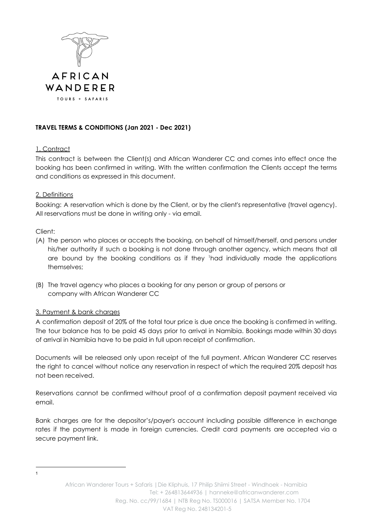

# **TRAVEL TERMS & CONDITIONS (Jan 2021 - Dec 2021)**

## 1. Contract

This contract is between the Client(s) and African Wanderer CC and comes into effect once the booking has been confirmed in writing. With the written confirmation the Clients accept the terms and conditions as expressed in this document.

## 2. Definitions

Booking: A reservation which is done by the Client, or by the client's representative (travel agency). All reservations must be done in writing only - via email.

## Client:

- (A) The person who places or accepts the booking, on behalf of himself/herself, and persons under his/her authority if such a booking is not done through another agency, which means that all are bound by the booking conditions as if they <sup>1</sup>had individually made the applications themselves;
- (B) The travel agency who places a booking for any person or group of persons or company with African Wanderer CC

### 3. Payment & bank charges

A confirmation deposit of 20% of the total tour price is due once the booking is confirmed in writing. The tour balance has to be paid 45 days prior to arrival in Namibia. Bookings made within 30 days of arrival in Namibia have to be paid in full upon receipt of confirmation.

Documents will be released only upon receipt of the full payment. African Wanderer CC reserves the right to cancel without notice any reservation in respect of which the required 20% deposit has not been received.

Reservations cannot be confirmed without proof of a confirmation deposit payment received via email.

Bank charges are for the depositor's/payer's account including possible difference in exchange rates if the payment is made in foreign currencies. Credit card payments are accepted via a secure payment link.

1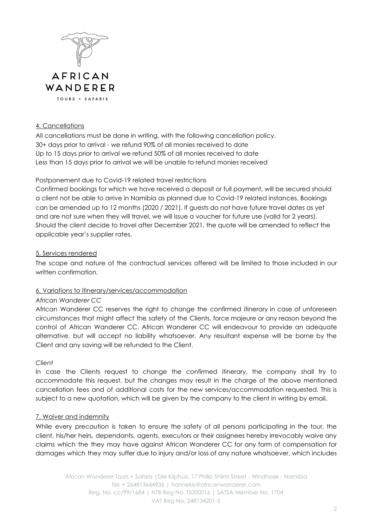

### 4. Cancellations

All cancellations must be done in writing, with the following cancellation policy. 30+ days prior to arrival - we refund 90% of all monies received to date Up to 15 days prior to arrival we refund 50% of all monies received to date Less than 15 days prior to arrival we will be unable to refund monies received

## Postponement due to Covid-19 related travel restrictions

Confirmed bookings for which we have received a deposit or full payment, will be secured should a client not be able to arrive in Namibia as planned due to Covid-19 related instances. Bookings can be amended up to 12 months (2020 / 2021). If guests do not have future travel dates as yet and are not sure when they will travel, we will issue a voucher for future use (valid for 2 years). Should the client decide to travel after December 2021, the quote will be amended to reflect the applicable year's supplier rates.

## 5. Services rendered

The scope and nature of the contractual services offered will be limited to those included in our written confirmation.

## 6. Variations to itinerary/services/accommodation

## *African Wanderer CC*

African Wanderer CC reserves the right to change the confirmed itinerary in case of unforeseen circumstances that might affect the safety of the Clients, force majeure or any reason beyond the control of African Wanderer CC. African Wanderer CC will endeavour to provide an adequate alternative, but will accept no liability whatsoever. Any resultant expense will be borne by the Client and any saving will be refunded to the Client.

## *Client*

In case the Clients request to change the confirmed itinerary, the company shall try to accommodate this request, but the changes may result in the charge of the above mentioned cancellation fees and of additional costs for the new services/accommodation requested. This is subject to a new quotation, which will be given by the company to the client in writing by email.

## 7. Waiver and indemnity

While every precaution is taken to ensure the safety of all persons participating in the tour, the client, his/her heirs, dependants, agents, executors or their assignees hereby irrevocably waive any claims which the they may have against African Wanderer CC for any form of compensation for damages which they may suffer due to injury and/or loss of any nature whatsoever, which includes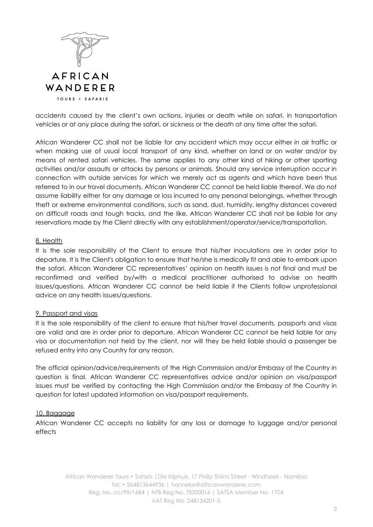

accidents caused by the client's own actions, injuries or death while on safari, in transportation vehicles or at any place during the safari, or sickness or the death at any time after the safari.

African Wanderer CC shall not be liable for any accident which may occur either in air traffic or when making use of usual local transport of any kind, whether on land or on water and/or by means of rented safari vehicles. The same applies to any other kind of hiking or other sporting activities and/or assaults or attacks by persons or animals. Should any service interruption occur in connection with outside services for which we merely act as agents and which have been thus referred to in our travel documents, African Wanderer CC cannot be held liable thereof. We do not assume liability either for any damage or loss incurred to any personal belongings, whether through theft or extreme environmental conditions, such as sand, dust, humidity, lengthy distances covered on difficult roads and tough tracks, and the like. African Wanderer CC shall not be liable for any reservations made by the Client directly with any establishment/operator/service/transportation.

### 8. Health

It is the sole responsibility of the Client to ensure that his/her inoculations are in order prior to departure. It is the Client's obligation to ensure that he/she is medically fit and able to embark upon the safari. African Wanderer CC representatives' opinion on health issues is not final and must be reconfirmed and verified by/with a medical practitioner authorised to advise on health issues/questions. African Wanderer CC cannot be held liable if the Clients follow unprofessional advice on any health issues/questions.

### 9. Passport and visas

It is the sole responsibility of the client to ensure that his/her travel documents, passports and visas are valid and are in order prior to departure. African Wanderer CC cannot be held liable for any visa or documentation not held by the client, nor will they be held liable should a passenger be refused entry into any Country for any reason.

The official opinion/advice/requirements of the High Commission and/or Embassy of the Country in question is final. African Wanderer CC representatives advice and/or opinion on visa/passport issues must be verified by contacting the High Commission and/or the Embassy of the Country in question for latest updated information on visa/passport requirements.

### 10. Baggage

African Wanderer CC accepts no liability for any loss or damage to luggage and/or personal effects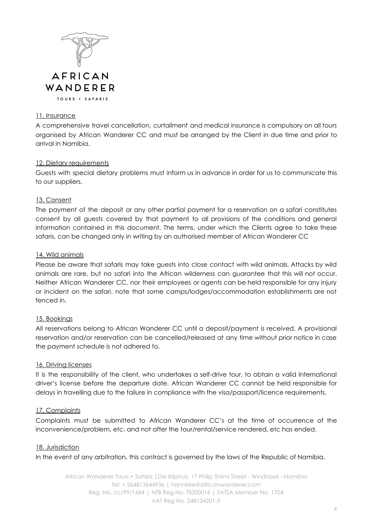

### 11. Insurance

A comprehensive travel cancellation, curtailment and medical insurance is compulsory on all tours organised by African Wanderer CC and must be arranged by the Client in due time and prior to arrival in Namibia.

## 12. Dietary requirements

Guests with special dietary problems must inform us in advance in order for us to communicate this to our suppliers.

### 13. Consent

The payment of the deposit or any other partial payment for a reservation on a safari constitutes consent by all guests covered by that payment to all provisions of the conditions and general information contained in this document. The terms, under which the Clients agree to take these safaris, can be changed only in writing by an authorised member of African Wanderer CC

### 14. Wild animals

Please be aware that safaris may take guests into close contact with wild animals. Attacks by wild animals are rare, but no safari into the African wilderness can guarantee that this will not occur. Neither African Wanderer CC, nor their employees or agents can be held responsible for any injury or incident on the safari. note that some camps/lodges/accommodation establishments are not fenced in.

### 15. Bookings

All reservations belong to African Wanderer CC until a deposit/payment is received. A provisional reservation and/or reservation can be cancelled/released at any time without prior notice in case the payment schedule is not adhered to.

### 16. Driving licenses

It is the responsibility of the client, who undertakes a self-drive tour, to obtain a valid International driver's license before the departure date. African Wanderer CC cannot be held responsible for delays in travelling due to the failure in compliance with the visa/passport/licence requirements.

## 17. Complaints

Complaints must be submitted to African Wanderer CC's at the time of occurrence of the inconvenience/problem, etc. and not after the tour/rental/service rendered, etc has ended.

### 18. Jurisdiction

In the event of any arbitration, this contract is governed by the laws of the Republic of Namibia.